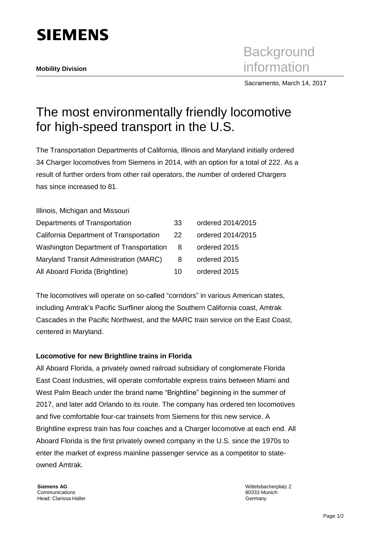

**Background Mobility Division**<br> **Mobility Division** 

Sacramento, March 14, 2017

## The most environmentally friendly locomotive for high-speed transport in the U.S.

The Transportation Departments of California, Illinois and Maryland initially ordered 34 Charger locomotives from Siemens in 2014, with an option for a total of 222. As a result of further orders from other rail operators, the number of ordered Chargers has since increased to 81.

| Illinois, Michigan and Missouri         |    |                   |
|-----------------------------------------|----|-------------------|
| Departments of Transportation           | 33 | ordered 2014/2015 |
| California Department of Transportation | 22 | ordered 2014/2015 |
| Washington Department of Transportation | 8  | ordered 2015      |
| Maryland Transit Administration (MARC)  | 8  | ordered 2015      |
| All Aboard Florida (Brightline)         | 10 | ordered 2015      |

The locomotives will operate on so-called "corridors" in various American states, including Amtrak's Pacific Surfliner along the Southern California coast, Amtrak Cascades in the Pacific Northwest, and the MARC train service on the East Coast, centered in Maryland.

## **Locomotive for new Brightline trains in Florida**

All Aboard Florida, a privately owned railroad subsidiary of conglomerate Florida East Coast Industries, will operate comfortable express trains between Miami and West Palm Beach under the brand name "Brightline" beginning in the summer of 2017, and later add Orlando to its route. The company has ordered ten locomotives and five comfortable four-car trainsets from Siemens for this new service. A Brightline express train has four coaches and a Charger locomotive at each end. All Aboard Florida is the first privately owned company in the U.S. since the 1970s to enter the market of express mainline passenger service as a competitor to stateowned Amtrak.

Wittelsbacherplatz 2 80333 Munich Germany